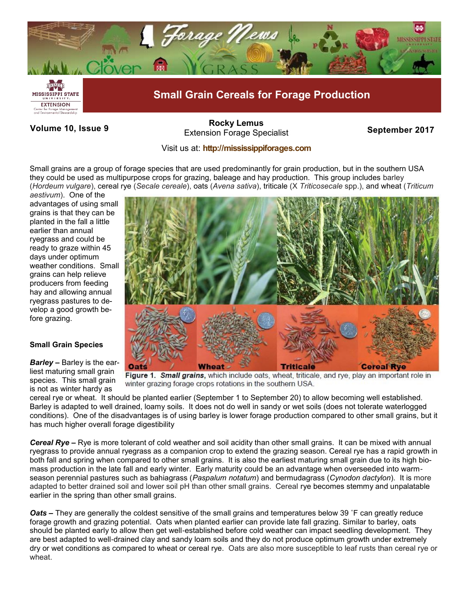

Volume 10, Issue 9 *September 2017* **September 2017 [Rocky Lemus](mailto:RLemus@ext.msstate.edu?subject=Forage%20News:%20Janaury%202011)**

## Visit us at: **<http://mississippiforages.com>**

Small grains are a group of forage species that are used predominantly for grain production, but in the southern USA they could be used as multipurpose crops for grazing, baleage and hay production. This group includes barley (*Hordeum vulgare*), cereal rye (*Secale cereale*), oats (*Avena sativa*), triticale (X *Triticosecale* spp.), and wheat (*Triticum* 

*aestivum*). One of the advantages of using small grains is that they can be planted in the fall a little earlier than annual ryegrass and could be ready to graze within 45 days under optimum weather conditions. Small grains can help relieve producers from feeding hay and allowing annual ryegrass pastures to develop a good growth before grazing.

## **Small Grain Species**

*Barley –* Barley is the earliest maturing small grain species. This small grain is not as winter hardy as



Figure 1. Small grains, which include oats, wheat, triticale, and rye, play an important role in winter grazing forage crops rotations in the southern USA.

cereal rye or wheat. It should be planted earlier (September 1 to September 20) to allow becoming well established. Barley is adapted to well drained, loamy soils. It does not do well in sandy or wet soils (does not tolerate waterlogged conditions). One of the disadvantages is of using barley is lower forage production compared to other small grains, but it has much higher overall forage digestibility

*Cereal Rye –* Rye is more tolerant of cold weather and soil acidity than other small grains. It can be mixed with annual ryegrass to provide annual ryegrass as a companion crop to extend the grazing season. Cereal rye has a rapid growth in both fall and spring when compared to other small grains. It is also the earliest maturing small grain due to its high biomass production in the late fall and early winter. Early maturity could be an advantage when overseeded into warmseason perennial pastures such as bahiagrass (*Paspalum notatum*) and bermudagrass (*Cynodon dactylon*). It is more adapted to better drained soil and lower soil pH than other small grains. Cereal rye becomes stemmy and unpalatable earlier in the spring than other small grains.

*Oats –* They are generally the coldest sensitive of the small grains and temperatures below 39 ˚F can greatly reduce forage growth and grazing potential. Oats when planted earlier can provide late fall grazing. Similar to barley, oats should be planted early to allow then get well-established before cold weather can impact seedling development. They are best adapted to well-drained clay and sandy loam soils and they do not produce optimum growth under extremely dry or wet conditions as compared to wheat or cereal rye. Oats are also more susceptible to leaf rusts than cereal rye or wheat.